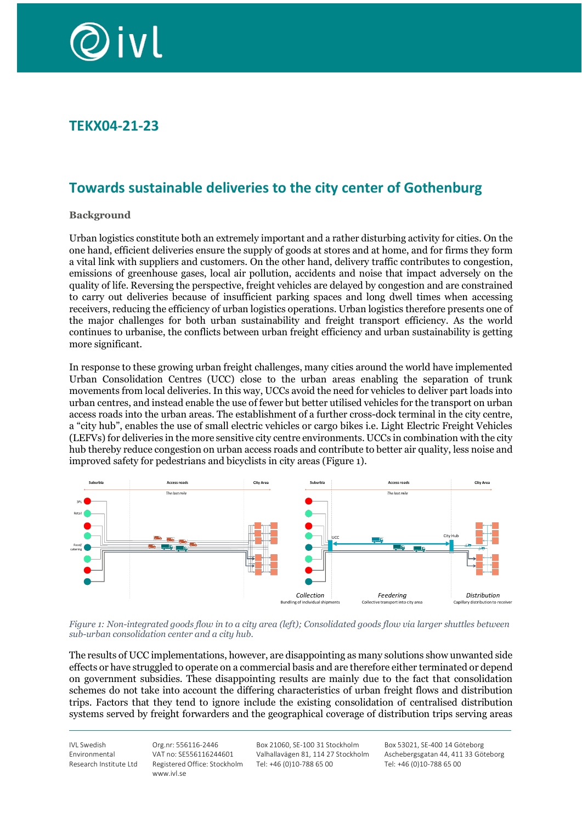

## **TEKX04-21-23**

# **Towards sustainable deliveries to the city center of Gothenburg**

#### **Background**

Urban logistics constitute both an extremely important and a rather disturbing activity for cities. On the one hand, efficient deliveries ensure the supply of goods at stores and at home, and for firms they form a vital link with suppliers and customers. On the other hand, delivery traffic contributes to congestion, emissions of greenhouse gases, local air pollution, accidents and noise that impact adversely on the quality of life. Reversing the perspective, freight vehicles are delayed by congestion and are constrained to carry out deliveries because of insufficient parking spaces and long dwell times when accessing receivers, reducing the efficiency of urban logistics operations. Urban logistics therefore presents one of the major challenges for both urban sustainability and freight transport efficiency. As the world continues to urbanise, the conflicts between urban freight efficiency and urban sustainability is getting more significant.

In response to these growing urban freight challenges, many cities around the world have implemented Urban Consolidation Centres (UCC) close to the urban areas enabling the separation of trunk movements from local deliveries. In this way, UCCs avoid the need for vehicles to deliver part loads into urban centres, and instead enable the use of fewer but better utilised vehicles for the transport on urban access roads into the urban areas. The establishment of a further cross-dock terminal in the city centre, a "city hub", enables the use of small electric vehicles or cargo bikes i.e. Light Electric Freight Vehicles (LEFVs) for deliveries in the more sensitive city centre environments. UCCs in combination with the city hub thereby reduce congestion on urban access roads and contribute to better air quality, less noise and improved safety for pedestrians and bicyclists in city areas (Figure 1).



*Figure 1: Non-integrated goods flow in to a city area (left); Consolidated goods flow via larger shuttles between sub-urban consolidation center and a city hub.*

The results of UCC implementations, however, are disappointing as many solutions show unwanted side effects or have struggled to operate on a commercial basis and are therefore either terminated or depend on government subsidies. These disappointing results are mainly due to the fact that consolidation schemes do not take into account the differing characteristics of urban freight flows and distribution trips. Factors that they tend to ignore include the existing consolidation of centralised distribution systems served by freight forwarders and the geographical coverage of distribution trips serving areas

IVL Swedish Environmental Research Institute Ltd

Org.nr: 556116-2446 VAT no: SE556116244601 Registered Office: Stockholm www.ivl.se

Box 21060, SE-100 31 Stockholm Valhallavägen 81, 114 27 Stockholm Tel: +46 (0)10-788 65 00

Box 53021, SE-400 14 Göteborg Aschebergsgatan 44, 411 33 Göteborg Tel: +46 (0)10-788 65 00